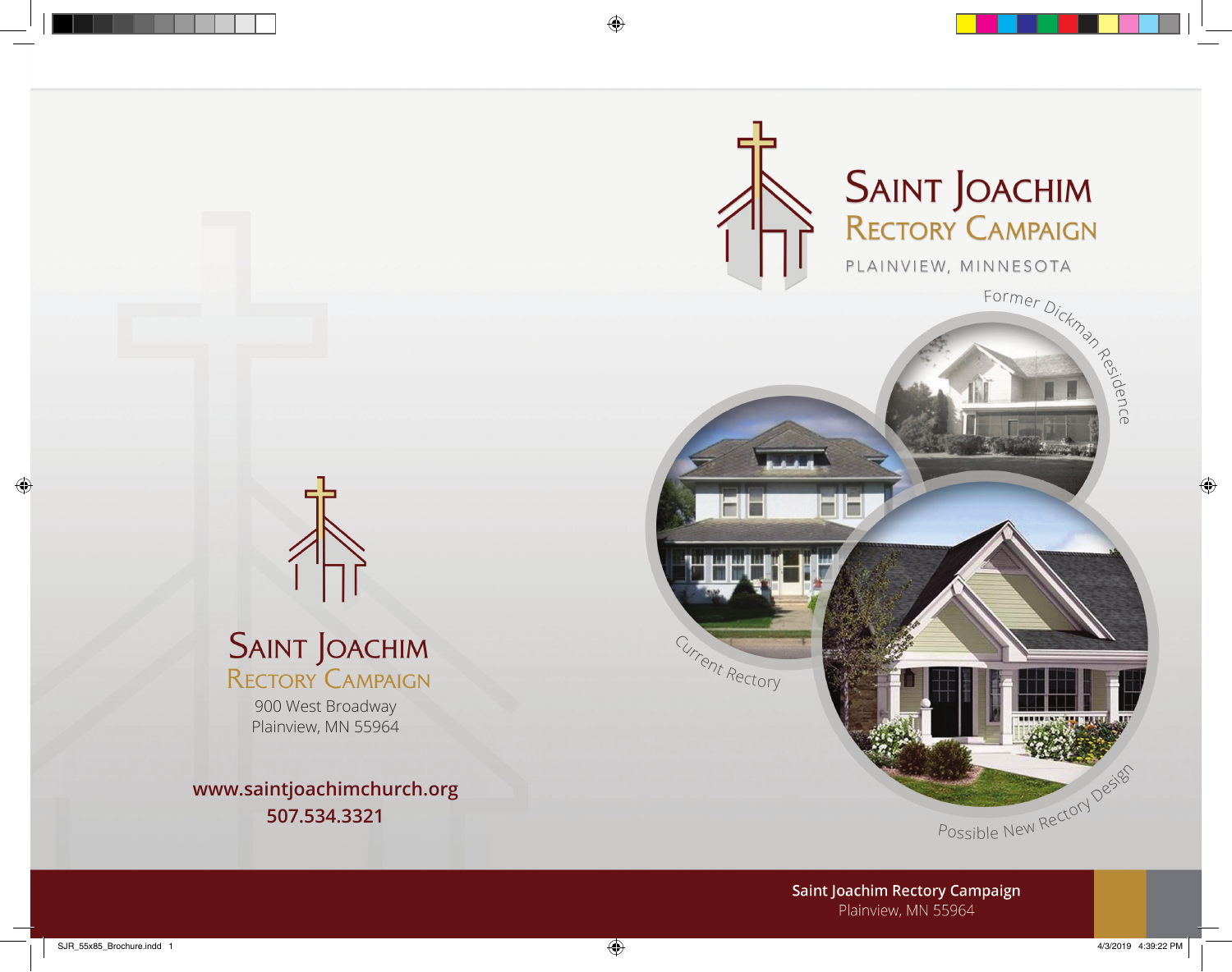



# **SAINT JOACHIM**<br>RECTORY CAMPAIGN

900 West Broadway Plainview, MN 55964

**www.saintjoachimchurch.org 507.534.3321**

> **Saint Joachim Rectory Campaign** Plainview, MN 55964